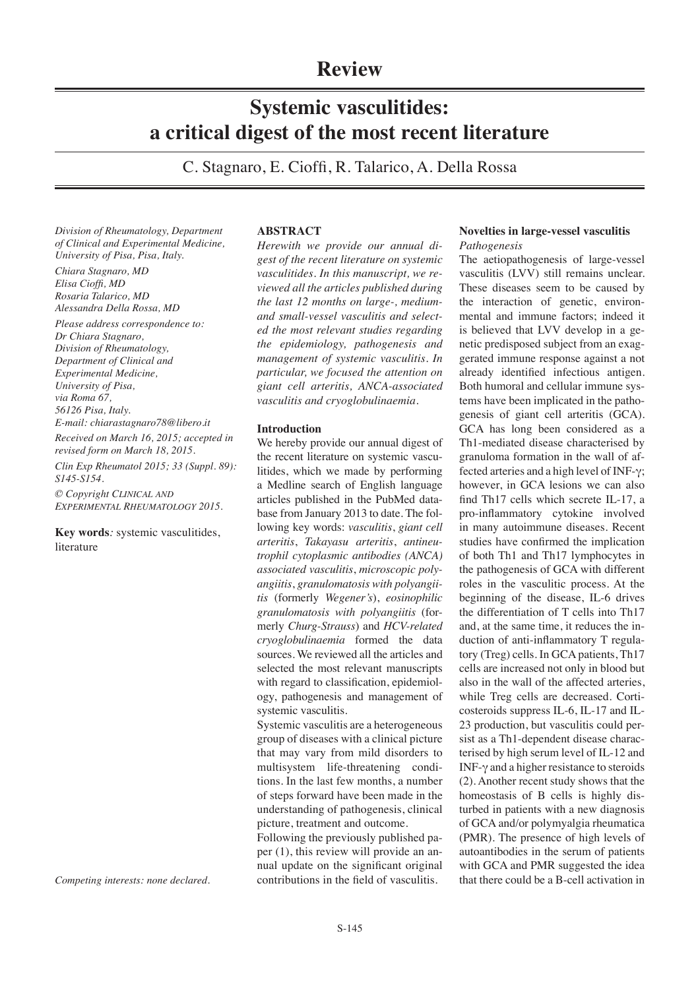# **Review**

# **Systemic vasculitides: a critical digest of the most recent literature**

C. Stagnaro, E. Cioffi, R. Talarico, A. Della Rossa

*Division of Rheumatology, Department of Clinical and Experimental Medicine, University of Pisa, Pisa, Italy.*

*Chiara Stagnaro, MD Elisa Cioffi, MD Rosaria Talarico, MD Alessandra Della Rossa, MD*

*Please address correspondence to: Dr Chiara Stagnaro, Division of Rheumatology, Department of Clinical and Experimental Medicine, University of Pisa, via Roma 67, 56126 Pisa, Italy. E-mail: chiarastagnaro78@libero.it Received on March 16, 2015; accepted in revised form on March 18, 2015.*

*Clin Exp Rheumatol 2015; 33 (Suppl. 89): S145-S154.*

*© Copyright Clinical and Experimental Rheumatology 2015.*

**Key words***:* systemic vasculitides, literature

*Competing interests: none declared.*

# **ABSTRACT**

*Herewith we provide our annual digest of the recent literature on systemic vasculitides. In this manuscript, we reviewed all the articles published during the last 12 months on large-, mediumand small-vessel vasculitis and selected the most relevant studies regarding the epidemiology, pathogenesis and management of systemic vasculitis. In particular, we focused the attention on giant cell arteritis, ANCA-associated vasculitis and cryoglobulinaemia.*

### **Introduction**

We hereby provide our annual digest of the recent literature on systemic vasculitides, which we made by performing a Medline search of English language articles published in the PubMed database from January 2013 to date. The following key words: *vasculitis*, *giant cell arteritis*, *Takayasu arteritis*, *antineutrophil cytoplasmic antibodies (ANCA) associated vasculitis*, *microscopic polyangiitis*, *granulomatosis with polyangiitis* (formerly *Wegener's*), *eosinophilic granulomatosis with polyangiitis* (formerly *Churg-Strauss*) and *HCV-related cryoglobulinaemia* formed the data sources. We reviewed all the articles and selected the most relevant manuscripts with regard to classification, epidemiology, pathogenesis and management of systemic vasculitis.

Systemic vasculitis are a heterogeneous group of diseases with a clinical picture that may vary from mild disorders to multisystem life-threatening conditions. In the last few months, a number of steps forward have been made in the understanding of pathogenesis, clinical picture, treatment and outcome.

Following the previously published paper (1), this review will provide an annual update on the significant original contributions in the field of vasculitis.

# **Novelties in large-vessel vasculitis** *Pathogenesis*

The aetiopathogenesis of large-vessel vasculitis (LVV) still remains unclear. These diseases seem to be caused by the interaction of genetic, environmental and immune factors; indeed it is believed that LVV develop in a genetic predisposed subject from an exaggerated immune response against a not already identified infectious antigen. Both humoral and cellular immune systems have been implicated in the pathogenesis of giant cell arteritis (GCA). GCA has long been considered as a Th1-mediated disease characterised by granuloma formation in the wall of affected arteries and a high level of INF-γ; however, in GCA lesions we can also find Th17 cells which secrete IL-17, a pro-inflammatory cytokine involved in many autoimmune diseases. Recent studies have confirmed the implication of both Th1 and Th17 lymphocytes in the pathogenesis of GCA with different roles in the vasculitic process. At the beginning of the disease, IL-6 drives the differentiation of T cells into Th17 and, at the same time, it reduces the induction of anti-inflammatory T regulatory (Treg) cells. In GCA patients, Th17 cells are increased not only in blood but also in the wall of the affected arteries, while Treg cells are decreased. Corticosteroids suppress IL-6, IL-17 and IL-23 production, but vasculitis could persist as a Th1-dependent disease characterised by high serum level of IL-12 and INF-γ and a higher resistance to steroids (2). Another recent study shows that the homeostasis of B cells is highly disturbed in patients with a new diagnosis of GCA and/or polymyalgia rheumatica (PMR). The presence of high levels of autoantibodies in the serum of patients with GCA and PMR suggested the idea that there could be a B-cell activation in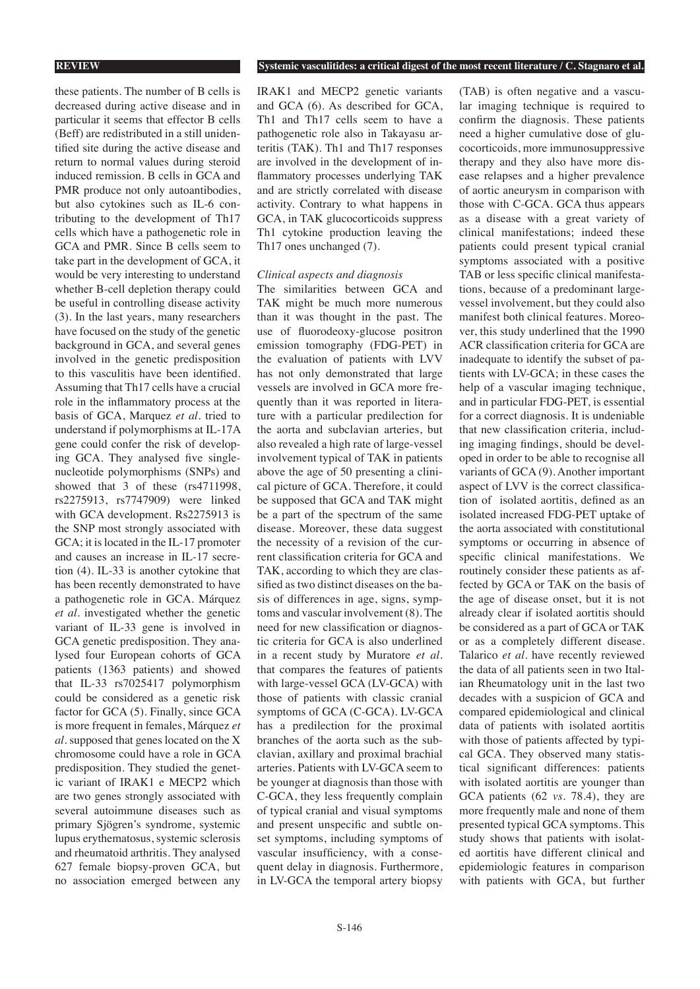these patients. The number of B cells is decreased during active disease and in particular it seems that effector B cells (Beff) are redistributed in a still unidentified site during the active disease and return to normal values during steroid induced remission. B cells in GCA and PMR produce not only autoantibodies, but also cytokines such as IL-6 contributing to the development of Th17 cells which have a pathogenetic role in GCA and PMR. Since B cells seem to take part in the development of GCA, it would be very interesting to understand whether B-cell depletion therapy could be useful in controlling disease activity (3). In the last years, many researchers have focused on the study of the genetic background in GCA, and several genes involved in the genetic predisposition to this vasculitis have been identified. Assuming that Th17 cells have a crucial role in the inflammatory process at the basis of GCA, Marquez *et al*. tried to understand if polymorphisms at IL-17A gene could confer the risk of developing GCA. They analysed five singlenucleotide polymorphisms (SNPs) and showed that 3 of these (rs4711998, rs2275913, rs7747909) were linked with GCA development. Rs2275913 is the SNP most strongly associated with GCA; it is located in the IL-17 promoter and causes an increase in IL-17 secretion (4). IL-33 is another cytokine that has been recently demonstrated to have a pathogenetic role in GCA. Márquez *et al.* investigated whether the genetic variant of IL-33 gene is involved in GCA genetic predisposition. They analysed four European cohorts of GCA patients (1363 patients) and showed that IL-33 rs7025417 polymorphism could be considered as a genetic risk factor for GCA (5). Finally, since GCA is more frequent in females, Márquez *et al.* supposed that genes located on the X chromosome could have a role in GCA predisposition. They studied the genetic variant of IRAK1 e MECP2 which are two genes strongly associated with several autoimmune diseases such as primary Sjögren's syndrome, systemic lupus erythematosus, systemic sclerosis and rheumatoid arthritis. They analysed 627 female biopsy-proven GCA, but no association emerged between any

### **REVIEW Systemic vasculitides: a critical digest of the most recent literature / C. Stagnaro et al.**

IRAK1 and MECP2 genetic variants and GCA (6). As described for GCA, Th1 and Th17 cells seem to have a pathogenetic role also in Takayasu arteritis (TAK). Th1 and Th17 responses are involved in the development of inflammatory processes underlying TAK and are strictly correlated with disease activity. Contrary to what happens in GCA, in TAK glucocorticoids suppress Th1 cytokine production leaving the Th17 ones unchanged (7).

### *Clinical aspects and diagnosis*

The similarities between GCA and TAK might be much more numerous than it was thought in the past. The use of fluorodeoxy-glucose positron emission tomography (FDG-PET) in the evaluation of patients with LVV has not only demonstrated that large vessels are involved in GCA more frequently than it was reported in literature with a particular predilection for the aorta and subclavian arteries, but also revealed a high rate of large-vessel involvement typical of TAK in patients above the age of 50 presenting a clinical picture of GCA. Therefore, it could be supposed that GCA and TAK might be a part of the spectrum of the same disease. Moreover, these data suggest the necessity of a revision of the current classification criteria for GCA and TAK, according to which they are classified as two distinct diseases on the basis of differences in age, signs, symptoms and vascular involvement (8). The need for new classification or diagnostic criteria for GCA is also underlined in a recent study by Muratore *et al.* that compares the features of patients with large-vessel GCA (LV-GCA) with those of patients with classic cranial symptoms of GCA (C-GCA). LV-GCA has a predilection for the proximal branches of the aorta such as the subclavian, axillary and proximal brachial arteries. Patients with LV-GCA seem to be younger at diagnosis than those with C-GCA, they less frequently complain of typical cranial and visual symptoms and present unspecific and subtle onset symptoms, including symptoms of vascular insufficiency, with a consequent delay in diagnosis. Furthermore, in LV-GCA the temporal artery biopsy

(TAB) is often negative and a vascular imaging technique is required to confirm the diagnosis. These patients need a higher cumulative dose of glucocorticoids, more immunosuppressive therapy and they also have more disease relapses and a higher prevalence of aortic aneurysm in comparison with those with C-GCA. GCA thus appears as a disease with a great variety of clinical manifestations; indeed these patients could present typical cranial symptoms associated with a positive TAB or less specific clinical manifestations, because of a predominant largevessel involvement, but they could also manifest both clinical features. Moreover, this study underlined that the 1990 ACR classification criteria for GCA are inadequate to identify the subset of patients with LV-GCA; in these cases the help of a vascular imaging technique, and in particular FDG-PET, is essential for a correct diagnosis. It is undeniable that new classification criteria, including imaging findings, should be developed in order to be able to recognise all variants of GCA (9). Another important aspect of LVV is the correct classification of isolated aortitis, defined as an isolated increased FDG-PET uptake of the aorta associated with constitutional symptoms or occurring in absence of specific clinical manifestations. We routinely consider these patients as affected by GCA or TAK on the basis of the age of disease onset, but it is not already clear if isolated aortitis should be considered as a part of GCA or TAK or as a completely different disease. Talarico *et al*. have recently reviewed the data of all patients seen in two Italian Rheumatology unit in the last two decades with a suspicion of GCA and compared epidemiological and clinical data of patients with isolated aortitis with those of patients affected by typical GCA. They observed many statistical significant differences: patients with isolated aortitis are younger than GCA patients (62 *vs*. 78.4), they are more frequently male and none of them presented typical GCA symptoms. This study shows that patients with isolated aortitis have different clinical and epidemiologic features in comparison with patients with GCA, but further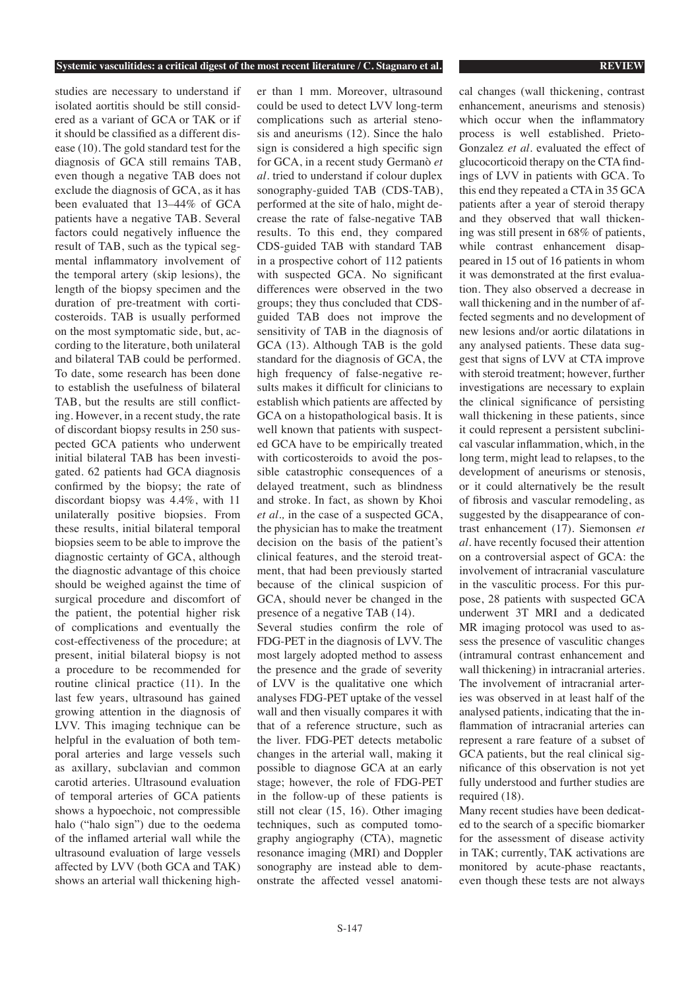studies are necessary to understand if isolated aortitis should be still considered as a variant of GCA or TAK or if it should be classified as a different disease (10). The gold standard test for the diagnosis of GCA still remains TAB, even though a negative TAB does not exclude the diagnosis of GCA, as it has been evaluated that 13–44% of GCA patients have a negative TAB. Several factors could negatively influence the result of TAB, such as the typical segmental inflammatory involvement of the temporal artery (skip lesions), the length of the biopsy specimen and the duration of pre-treatment with corticosteroids. TAB is usually performed on the most symptomatic side, but, according to the literature, both unilateral and bilateral TAB could be performed. To date, some research has been done to establish the usefulness of bilateral TAB, but the results are still conflicting. However, in a recent study, the rate of discordant biopsy results in 250 suspected GCA patients who underwent initial bilateral TAB has been investigated. 62 patients had GCA diagnosis confirmed by the biopsy; the rate of discordant biopsy was 4.4%, with 11 unilaterally positive biopsies. From these results, initial bilateral temporal biopsies seem to be able to improve the diagnostic certainty of GCA, although the diagnostic advantage of this choice should be weighed against the time of surgical procedure and discomfort of the patient, the potential higher risk of complications and eventually the cost-effectiveness of the procedure; at present, initial bilateral biopsy is not a procedure to be recommended for routine clinical practice (11). In the last few years, ultrasound has gained growing attention in the diagnosis of LVV. This imaging technique can be helpful in the evaluation of both temporal arteries and large vessels such as axillary, subclavian and common carotid arteries. Ultrasound evaluation of temporal arteries of GCA patients shows a hypoechoic, not compressible halo ("halo sign") due to the oedema of the inflamed arterial wall while the ultrasound evaluation of large vessels affected by LVV (both GCA and TAK) shows an arterial wall thickening higher than 1 mm. Moreover, ultrasound could be used to detect LVV long-term complications such as arterial stenosis and aneurisms (12). Since the halo sign is considered a high specific sign for GCA, in a recent study Germanò *et al.* tried to understand if colour duplex sonography-guided TAB (CDS-TAB), performed at the site of halo, might decrease the rate of false-negative TAB results. To this end, they compared CDS-guided TAB with standard TAB in a prospective cohort of 112 patients with suspected GCA. No significant differences were observed in the two groups; they thus concluded that CDSguided TAB does not improve the sensitivity of TAB in the diagnosis of GCA (13). Although TAB is the gold standard for the diagnosis of GCA, the high frequency of false-negative results makes it difficult for clinicians to establish which patients are affected by GCA on a histopathological basis. It is well known that patients with suspected GCA have to be empirically treated with corticosteroids to avoid the possible catastrophic consequences of a delayed treatment, such as blindness and stroke. In fact, as shown by Khoi *et al.,* in the case of a suspected GCA, the physician has to make the treatment decision on the basis of the patient's clinical features, and the steroid treatment, that had been previously started because of the clinical suspicion of GCA, should never be changed in the presence of a negative TAB (14). Several studies confirm the role of

FDG-PET in the diagnosis of LVV. The most largely adopted method to assess the presence and the grade of severity of LVV is the qualitative one which analyses FDG-PET uptake of the vessel wall and then visually compares it with that of a reference structure, such as the liver. FDG-PET detects metabolic changes in the arterial wall, making it possible to diagnose GCA at an early stage; however, the role of FDG-PET in the follow-up of these patients is still not clear (15, 16). Other imaging techniques, such as computed tomography angiography (CTA), magnetic resonance imaging (MRI) and Doppler sonography are instead able to demonstrate the affected vessel anatomi-

cal changes (wall thickening, contrast enhancement, aneurisms and stenosis) which occur when the inflammatory process is well established. Prieto-Gonzalez *et al.* evaluated the effect of glucocorticoid therapy on the CTA findings of LVV in patients with GCA. To this end they repeated a CTA in 35 GCA patients after a year of steroid therapy and they observed that wall thickening was still present in 68% of patients, while contrast enhancement disappeared in 15 out of 16 patients in whom it was demonstrated at the first evaluation. They also observed a decrease in wall thickening and in the number of affected segments and no development of new lesions and/or aortic dilatations in any analysed patients. These data suggest that signs of LVV at CTA improve with steroid treatment; however, further investigations are necessary to explain the clinical significance of persisting wall thickening in these patients, since it could represent a persistent subclinical vascular inflammation, which, in the long term, might lead to relapses, to the development of aneurisms or stenosis, or it could alternatively be the result of fibrosis and vascular remodeling, as suggested by the disappearance of contrast enhancement (17). Siemonsen *et al*. have recently focused their attention on a controversial aspect of GCA: the involvement of intracranial vasculature in the vasculitic process. For this purpose, 28 patients with suspected GCA underwent 3T MRI and a dedicated MR imaging protocol was used to assess the presence of vasculitic changes (intramural contrast enhancement and wall thickening) in intracranial arteries. The involvement of intracranial arteries was observed in at least half of the analysed patients, indicating that the inflammation of intracranial arteries can represent a rare feature of a subset of GCA patients, but the real clinical significance of this observation is not yet fully understood and further studies are required (18).

Many recent studies have been dedicated to the search of a specific biomarker for the assessment of disease activity in TAK; currently, TAK activations are monitored by acute-phase reactants, even though these tests are not always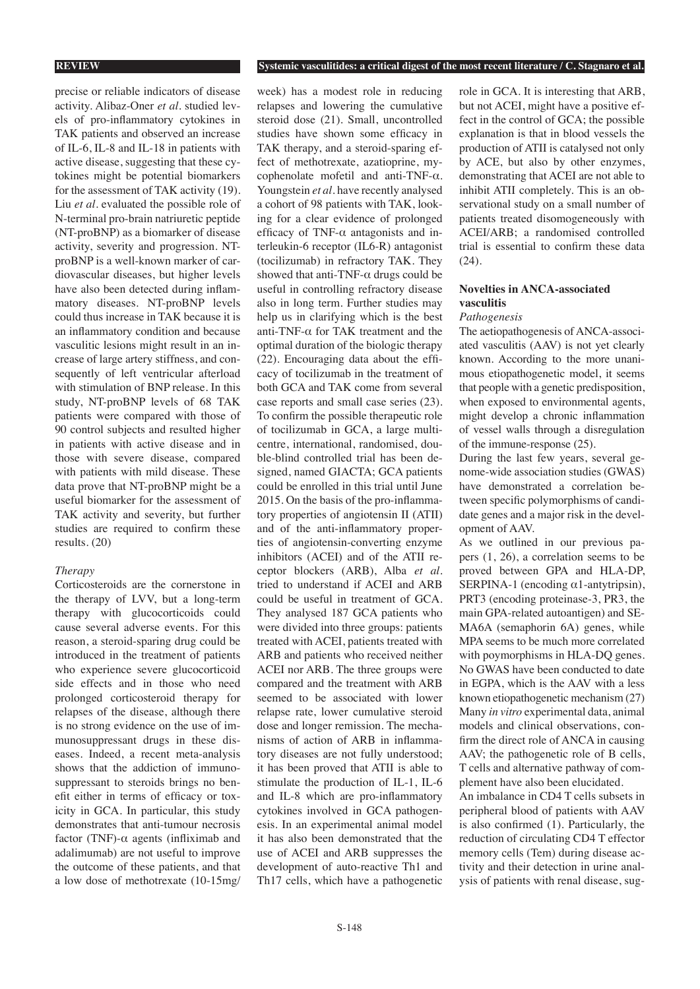precise or reliable indicators of disease activity. Alibaz-Oner *et al.* studied levels of pro-inflammatory cytokines in TAK patients and observed an increase of IL-6, IL-8 and IL-18 in patients with active disease, suggesting that these cytokines might be potential biomarkers for the assessment of TAK activity (19). Liu *et al.* evaluated the possible role of N-terminal pro-brain natriuretic peptide (NT-proBNP) as a biomarker of disease activity, severity and progression. NTproBNP is a well-known marker of cardiovascular diseases, but higher levels have also been detected during inflammatory diseases. NT-proBNP levels could thus increase in TAK because it is an inflammatory condition and because vasculitic lesions might result in an increase of large artery stiffness, and consequently of left ventricular afterload with stimulation of BNP release. In this study, NT-proBNP levels of 68 TAK patients were compared with those of 90 control subjects and resulted higher in patients with active disease and in those with severe disease, compared with patients with mild disease. These data prove that NT-proBNP might be a useful biomarker for the assessment of TAK activity and severity, but further studies are required to confirm these results. (20)

### *Therapy*

Corticosteroids are the cornerstone in the therapy of LVV, but a long-term therapy with glucocorticoids could cause several adverse events. For this reason, a steroid-sparing drug could be introduced in the treatment of patients who experience severe glucocorticoid side effects and in those who need prolonged corticosteroid therapy for relapses of the disease, although there is no strong evidence on the use of immunosuppressant drugs in these diseases. Indeed, a recent meta-analysis shows that the addiction of immunosuppressant to steroids brings no benefit either in terms of efficacy or toxicity in GCA. In particular, this study demonstrates that anti-tumour necrosis factor (TNF)-α agents (infliximab and adalimumab) are not useful to improve the outcome of these patients, and that a low dose of methotrexate (10-15mg/

week) has a modest role in reducing relapses and lowering the cumulative steroid dose (21). Small, uncontrolled studies have shown some efficacy in TAK therapy, and a steroid-sparing effect of methotrexate, azatioprine, mycophenolate mofetil and anti-TNF-α. Youngstein *et al*. have recently analysed a cohort of 98 patients with TAK, looking for a clear evidence of prolonged efficacy of TNF- $\alpha$  antagonists and interleukin-6 receptor (IL6-R) antagonist (tocilizumab) in refractory TAK. They showed that anti-TNF- $\alpha$  drugs could be useful in controlling refractory disease also in long term. Further studies may help us in clarifying which is the best anti-TNF- $\alpha$  for TAK treatment and the optimal duration of the biologic therapy (22). Encouraging data about the efficacy of tocilizumab in the treatment of both GCA and TAK come from several case reports and small case series (23). To confirm the possible therapeutic role of tocilizumab in GCA, a large multicentre, international, randomised, double-blind controlled trial has been designed, named GIACTA; GCA patients could be enrolled in this trial until June 2015. On the basis of the pro-inflammatory properties of angiotensin II (ATII) and of the anti-inflammatory properties of angiotensin-converting enzyme inhibitors (ACEI) and of the ATII receptor blockers (ARB), Alba *et al.* tried to understand if ACEI and ARB could be useful in treatment of GCA. They analysed 187 GCA patients who were divided into three groups: patients treated with ACEI, patients treated with ARB and patients who received neither ACEI nor ARB. The three groups were compared and the treatment with ARB seemed to be associated with lower relapse rate, lower cumulative steroid dose and longer remission. The mechanisms of action of ARB in inflammatory diseases are not fully understood; it has been proved that ATII is able to stimulate the production of IL-1, IL-6 and IL-8 which are pro-inflammatory cytokines involved in GCA pathogenesis. In an experimental animal model it has also been demonstrated that the use of ACEI and ARB suppresses the development of auto-reactive Th1 and Th17 cells, which have a pathogenetic

role in GCA. It is interesting that ARB, but not ACEI, might have a positive effect in the control of GCA; the possible explanation is that in blood vessels the production of ATII is catalysed not only by ACE, but also by other enzymes, demonstrating that ACEI are not able to inhibit ATII completely. This is an observational study on a small number of patients treated disomogeneously with ACEI/ARB; a randomised controlled trial is essential to confirm these data (24).

# **Novelties in ANCA-associated vasculitis**

# *Pathogenesis*

The aetiopathogenesis of ANCA-associated vasculitis (AAV) is not yet clearly known. According to the more unanimous etiopathogenetic model, it seems that people with a genetic predisposition, when exposed to environmental agents, might develop a chronic inflammation of vessel walls through a disregulation of the immune-response (25).

During the last few years, several genome-wide association studies (GWAS) have demonstrated a correlation between specific polymorphisms of candidate genes and a major risk in the development of AAV.

As we outlined in our previous papers (1, 26), a correlation seems to be proved between GPA and HLA-DP, SERPINA-1 (encoding  $\alpha$ 1-antytripsin), PRT3 (encoding proteinase-3, PR3, the main GPA-related autoantigen) and SE-MA6A (semaphorin 6A) genes, while MPA seems to be much more correlated with poymorphisms in HLA-DQ genes. No GWAS have been conducted to date in EGPA, which is the AAV with a less known etiopathogenetic mechanism (27) Many *in vitro* experimental data, animal models and clinical observations, confirm the direct role of ANCA in causing AAV; the pathogenetic role of B cells, T cells and alternative pathway of complement have also been elucidated.

An imbalance in CD4 T cells subsets in peripheral blood of patients with AAV is also confirmed (1). Particularly, the reduction of circulating CD4 T effector memory cells (Tem) during disease activity and their detection in urine analysis of patients with renal disease, sug-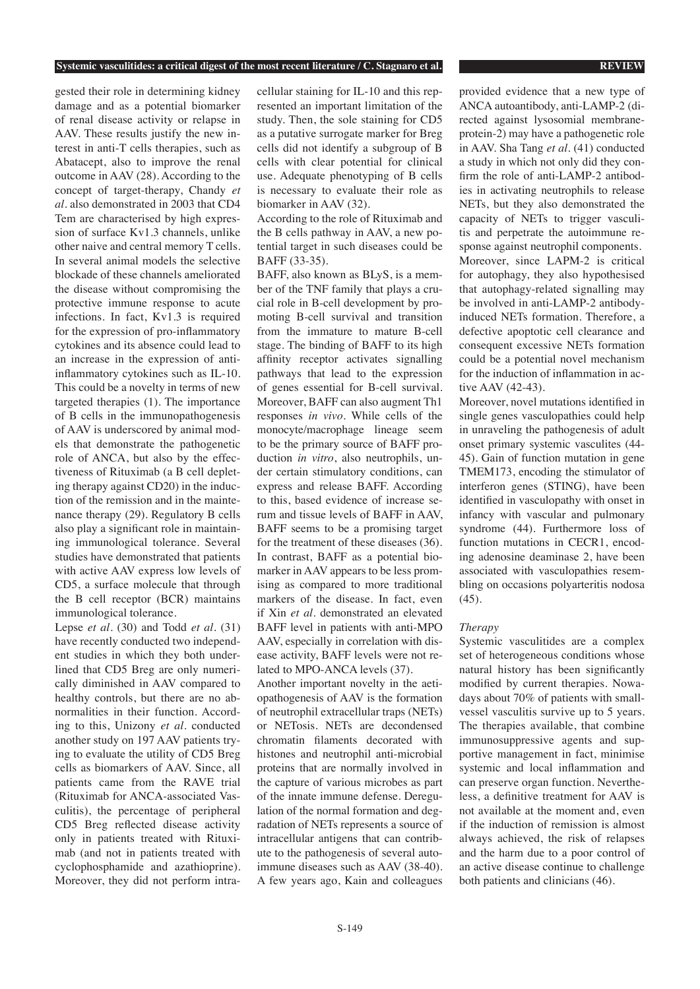gested their role in determining kidney damage and as a potential biomarker of renal disease activity or relapse in AAV. These results justify the new interest in anti-T cells therapies, such as Abatacept, also to improve the renal outcome in AAV (28). According to the concept of target-therapy, Chandy *et al.* also demonstrated in 2003 that CD4 Tem are characterised by high expression of surface Kv1.3 channels, unlike other naive and central memory T cells. In several animal models the selective blockade of these channels ameliorated the disease without compromising the protective immune response to acute infections. In fact, Kv1.3 is required for the expression of pro-inflammatory cytokines and its absence could lead to an increase in the expression of antiinflammatory cytokines such as IL-10. This could be a novelty in terms of new targeted therapies (1). The importance of B cells in the immunopathogenesis of AAV is underscored by animal models that demonstrate the pathogenetic role of ANCA, but also by the effectiveness of Rituximab (a B cell depleting therapy against CD20) in the induction of the remission and in the maintenance therapy (29). Regulatory B cells also play a significant role in maintaining immunological tolerance. Several studies have demonstrated that patients with active AAV express low levels of CD5, a surface molecule that through the B cell receptor (BCR) maintains immunological tolerance.

Lepse *et al.* (30) and Todd *et al.* (31) have recently conducted two independent studies in which they both underlined that CD5 Breg are only numerically diminished in AAV compared to healthy controls, but there are no abnormalities in their function. According to this, Unizony *et al.* conducted another study on 197 AAV patients trying to evaluate the utility of CD5 Breg cells as biomarkers of AAV. Since, all patients came from the RAVE trial (Rituximab for ANCA-associated Vasculitis), the percentage of peripheral CD5 Breg reflected disease activity only in patients treated with Rituximab (and not in patients treated with cyclophosphamide and azathioprine). Moreover, they did not perform intracellular staining for IL-10 and this represented an important limitation of the study. Then, the sole staining for CD5 as a putative surrogate marker for Breg cells did not identify a subgroup of B cells with clear potential for clinical use. Adequate phenotyping of B cells is necessary to evaluate their role as biomarker in AAV (32).

According to the role of Rituximab and the B cells pathway in AAV, a new potential target in such diseases could be BAFF (33-35).

BAFF, also known as BLyS, is a member of the TNF family that plays a crucial role in B-cell development by promoting B-cell survival and transition from the immature to mature B-cell stage. The binding of BAFF to its high affinity receptor activates signalling pathways that lead to the expression of genes essential for B-cell survival. Moreover, BAFF can also augment Th1 responses *in vivo.* While cells of the monocyte/macrophage lineage seem to be the primary source of BAFF production *in vitro*, also neutrophils, under certain stimulatory conditions, can express and release BAFF. According to this, based evidence of increase serum and tissue levels of BAFF in AAV, BAFF seems to be a promising target for the treatment of these diseases (36). In contrast, BAFF as a potential biomarker in AAV appears to be less promising as compared to more traditional markers of the disease. In fact, even if Xin *et al*. demonstrated an elevated BAFF level in patients with anti-MPO AAV, especially in correlation with disease activity, BAFF levels were not related to MPO-ANCA levels (37).

Another important novelty in the aetiopathogenesis of AAV is the formation of neutrophil extracellular traps (NETs) or NETosis. NETs are decondensed chromatin filaments decorated with histones and neutrophil anti-microbial proteins that are normally involved in the capture of various microbes as part of the innate immune defense. Deregulation of the normal formation and degradation of NETs represents a source of intracellular antigens that can contribute to the pathogenesis of several autoimmune diseases such as AAV (38-40). A few years ago, Kain and colleagues

provided evidence that a new type of ANCA autoantibody, anti-LAMP-2 (directed against lysosomial membraneprotein-2) may have a pathogenetic role in AAV. Sha Tang *et al.* (41) conducted a study in which not only did they confirm the role of anti-LAMP-2 antibodies in activating neutrophils to release NETs, but they also demonstrated the capacity of NETs to trigger vasculitis and perpetrate the autoimmune response against neutrophil components. Moreover, since LAPM-2 is critical for autophagy, they also hypothesised that autophagy-related signalling may be involved in anti-LAMP-2 antibodyinduced NETs formation. Therefore, a defective apoptotic cell clearance and consequent excessive NETs formation could be a potential novel mechanism for the induction of inflammation in active AAV (42-43).

Moreover, novel mutations identified in single genes vasculopathies could help in unraveling the pathogenesis of adult onset primary systemic vasculites (44- 45). Gain of function mutation in gene TMEM173, encoding the stimulator of interferon genes (STING), have been identified in vasculopathy with onset in infancy with vascular and pulmonary syndrome (44). Furthermore loss of function mutations in CECR1, encoding adenosine deaminase 2, have been associated with vasculopathies resembling on occasions polyarteritis nodosa (45).

# *Therapy*

Systemic vasculitides are a complex set of heterogeneous conditions whose natural history has been significantly modified by current therapies. Nowadays about 70% of patients with smallvessel vasculitis survive up to 5 years. The therapies available, that combine immunosuppressive agents and supportive management in fact, minimise systemic and local inflammation and can preserve organ function. Nevertheless, a definitive treatment for AAV is not available at the moment and, even if the induction of remission is almost always achieved, the risk of relapses and the harm due to a poor control of an active disease continue to challenge both patients and clinicians (46).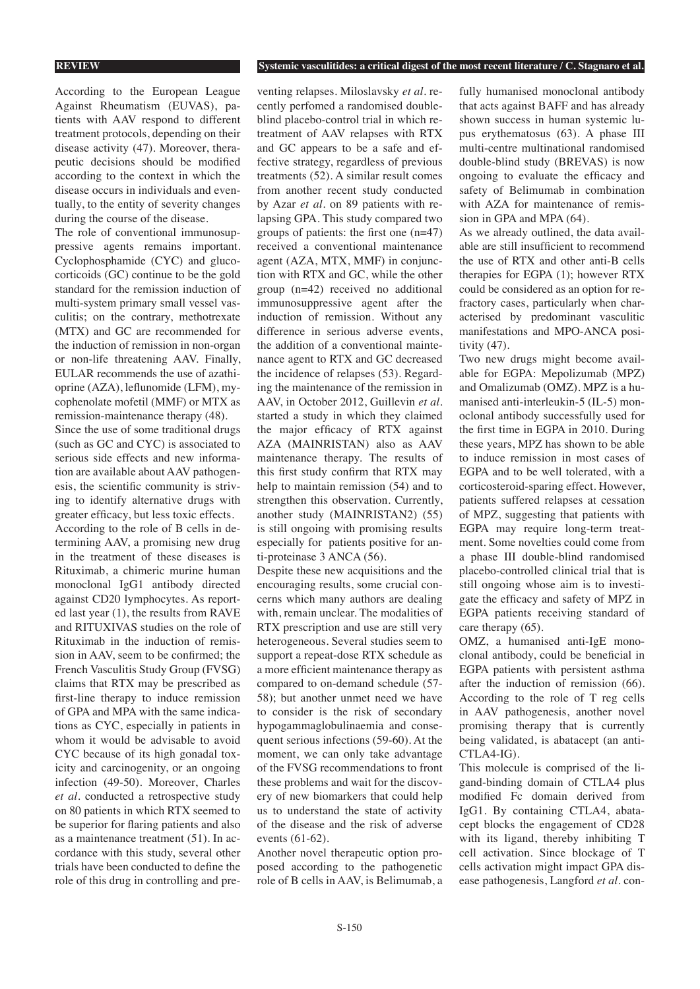According to the European League Against Rheumatism (EUVAS), patients with AAV respond to different treatment protocols, depending on their disease activity (47). Moreover, therapeutic decisions should be modified according to the context in which the disease occurs in individuals and eventually, to the entity of severity changes during the course of the disease.

The role of conventional immunosuppressive agents remains important. Cyclophosphamide (CYC) and glucocorticoids (GC) continue to be the gold standard for the remission induction of multi-system primary small vessel vasculitis; on the contrary, methotrexate (MTX) and GC are recommended for the induction of remission in non-organ or non-life threatening AAV. Finally, EULAR recommends the use of azathioprine (AZA), leflunomide (LFM), mycophenolate mofetil (MMF) or MTX as remission-maintenance therapy (48).

Since the use of some traditional drugs (such as GC and CYC) is associated to serious side effects and new information are available about AAV pathogenesis, the scientific community is striving to identify alternative drugs with greater efficacy, but less toxic effects. According to the role of B cells in determining AAV, a promising new drug in the treatment of these diseases is Rituximab, a chimeric murine human monoclonal IgG1 antibody directed against CD20 lymphocytes. As reported last year (1), the results from RAVE and RITUXIVAS studies on the role of Rituximab in the induction of remission in AAV, seem to be confirmed; the French Vasculitis Study Group (FVSG) claims that RTX may be prescribed as first-line therapy to induce remission of GPA and MPA with the same indications as CYC, especially in patients in whom it would be advisable to avoid CYC because of its high gonadal toxicity and carcinogenity, or an ongoing infection (49-50). Moreover, Charles *et al.* conducted a retrospective study on 80 patients in which RTX seemed to be superior for flaring patients and also as a maintenance treatment (51). In accordance with this study, several other trials have been conducted to define the role of this drug in controlling and preventing relapses. Miloslavsky *et al.* recently perfomed a randomised doubleblind placebo-control trial in which retreatment of AAV relapses with RTX and GC appears to be a safe and effective strategy, regardless of previous treatments (52). A similar result comes from another recent study conducted by Azar *et al.* on 89 patients with relapsing GPA. This study compared two groups of patients: the first one (n=47) received a conventional maintenance agent (AZA, MTX, MMF) in conjunction with RTX and GC, while the other group (n=42) received no additional immunosuppressive agent after the induction of remission. Without any difference in serious adverse events, the addition of a conventional maintenance agent to RTX and GC decreased the incidence of relapses (53). Regarding the maintenance of the remission in AAV, in October 2012, Guillevin *et al.* started a study in which they claimed the major efficacy of RTX against AZA (MAINRISTAN) also as AAV maintenance therapy. The results of this first study confirm that RTX may help to maintain remission (54) and to strengthen this observation. Currently, another study (MAINRISTAN2) (55) is still ongoing with promising results especially for patients positive for anti-proteinase 3 ANCA (56).

Despite these new acquisitions and the encouraging results, some crucial concerns which many authors are dealing with, remain unclear. The modalities of RTX prescription and use are still very heterogeneous. Several studies seem to support a repeat-dose RTX schedule as a more efficient maintenance therapy as compared to on-demand schedule (57- 58); but another unmet need we have to consider is the risk of secondary hypogammaglobulinaemia and consequent serious infections (59-60). At the moment, we can only take advantage of the FVSG recommendations to front these problems and wait for the discovery of new biomarkers that could help us to understand the state of activity of the disease and the risk of adverse events (61-62).

Another novel therapeutic option proposed according to the pathogenetic role of B cells in AAV, is Belimumab, a fully humanised monoclonal antibody that acts against BAFF and has already shown success in human systemic lupus erythematosus (63). A phase III multi-centre multinational randomised double-blind study (BREVAS) is now ongoing to evaluate the efficacy and safety of Belimumab in combination with AZA for maintenance of remission in GPA and MPA (64).

As we already outlined, the data available are still insufficient to recommend the use of RTX and other anti-B cells therapies for EGPA (1); however RTX could be considered as an option for refractory cases, particularly when characterised by predominant vasculitic manifestations and MPO-ANCA positivity (47).

Two new drugs might become available for EGPA: Mepolizumab (MPZ) and Omalizumab (OMZ). MPZ is a humanised anti-interleukin-5 (IL-5) monoclonal antibody successfully used for the first time in EGPA in 2010. During these years, MPZ has shown to be able to induce remission in most cases of EGPA and to be well tolerated, with a corticosteroid-sparing effect. However, patients suffered relapses at cessation of MPZ, suggesting that patients with EGPA may require long-term treatment. Some novelties could come from a phase III double-blind randomised placebo-controlled clinical trial that is still ongoing whose aim is to investigate the efficacy and safety of MPZ in EGPA patients receiving standard of care therapy (65).

OMZ, a humanised anti-IgE monoclonal antibody, could be beneficial in EGPA patients with persistent asthma after the induction of remission (66). According to the role of T reg cells in AAV pathogenesis, another novel promising therapy that is currently being validated, is abatacept (an anti-CTLA4-IG).

This molecule is comprised of the ligand-binding domain of CTLA4 plus modified Fc domain derived from IgG1. By containing CTLA4, abatacept blocks the engagement of CD28 with its ligand, thereby inhibiting T cell activation. Since blockage of T cells activation might impact GPA disease pathogenesis, Langford *et al.* con-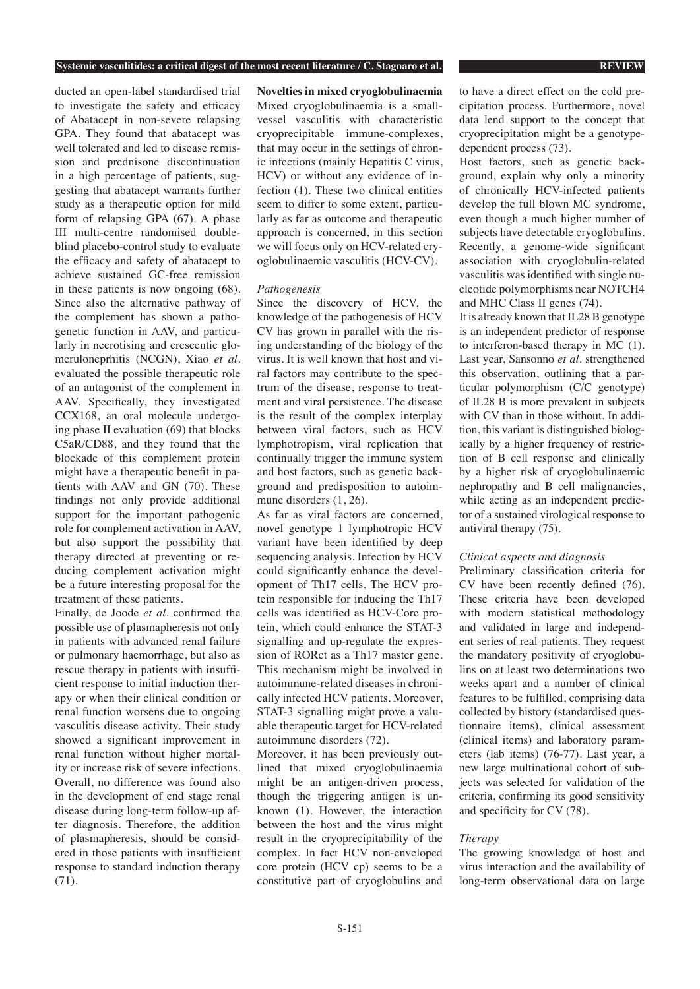ducted an open-label standardised trial to investigate the safety and efficacy of Abatacept in non-severe relapsing GPA. They found that abatacept was well tolerated and led to disease remission and prednisone discontinuation in a high percentage of patients, suggesting that abatacept warrants further study as a therapeutic option for mild form of relapsing GPA (67). A phase III multi-centre randomised doubleblind placebo-control study to evaluate the efficacy and safety of abatacept to achieve sustained GC-free remission in these patients is now ongoing (68). Since also the alternative pathway of the complement has shown a pathogenetic function in AAV, and particularly in necrotising and crescentic glomeruloneprhitis (NCGN), Xiao *et al.* evaluated the possible therapeutic role of an antagonist of the complement in AAV. Specifically, they investigated CCX168, an oral molecule undergoing phase II evaluation (69) that blocks C5aR/CD88, and they found that the blockade of this complement protein might have a therapeutic benefit in patients with AAV and GN (70). These findings not only provide additional support for the important pathogenic role for complement activation in AAV, but also support the possibility that therapy directed at preventing or reducing complement activation might be a future interesting proposal for the treatment of these patients.

Finally, de Joode *et al.* confirmed the possible use of plasmapheresis not only in patients with advanced renal failure or pulmonary haemorrhage, but also as rescue therapy in patients with insufficient response to initial induction therapy or when their clinical condition or renal function worsens due to ongoing vasculitis disease activity. Their study showed a significant improvement in renal function without higher mortality or increase risk of severe infections. Overall, no difference was found also in the development of end stage renal disease during long-term follow-up after diagnosis. Therefore, the addition of plasmapheresis, should be considered in those patients with insufficient response to standard induction therapy (71).

**Novelties in mixed cryoglobulinaemia** Mixed cryoglobulinaemia is a smallvessel vasculitis with characteristic cryoprecipitable immune-complexes, that may occur in the settings of chronic infections (mainly Hepatitis C virus, HCV) or without any evidence of infection (1). These two clinical entities seem to differ to some extent, particularly as far as outcome and therapeutic approach is concerned, in this section we will focus only on HCV-related cryoglobulinaemic vasculitis (HCV-CV).

### *Pathogenesis*

Since the discovery of HCV, the knowledge of the pathogenesis of HCV CV has grown in parallel with the rising understanding of the biology of the virus. It is well known that host and viral factors may contribute to the spectrum of the disease, response to treatment and viral persistence. The disease is the result of the complex interplay between viral factors, such as HCV lymphotropism, viral replication that continually trigger the immune system and host factors, such as genetic background and predisposition to autoimmune disorders (1, 26).

As far as viral factors are concerned, novel genotype 1 lymphotropic HCV variant have been identified by deep sequencing analysis. Infection by HCV could significantly enhance the development of Th17 cells. The HCV protein responsible for inducing the Th17 cells was identified as HCV-Core protein, which could enhance the STAT-3 signalling and up-regulate the expression of RORct as a Th17 master gene. This mechanism might be involved in autoimmune-related diseases in chronically infected HCV patients. Moreover, STAT-3 signalling might prove a valuable therapeutic target for HCV-related autoimmune disorders (72).

Moreover, it has been previously outlined that mixed cryoglobulinaemia might be an antigen-driven process, though the triggering antigen is unknown (1). However, the interaction between the host and the virus might result in the cryoprecipitability of the complex. In fact HCV non-enveloped core protein (HCV cp) seems to be a constitutive part of cryoglobulins and to have a direct effect on the cold precipitation process. Furthermore, novel data lend support to the concept that cryoprecipitation might be a genotypedependent process (73).

Host factors, such as genetic background, explain why only a minority of chronically HCV-infected patients develop the full blown MC syndrome, even though a much higher number of subjects have detectable cryoglobulins. Recently, a genome-wide significant association with cryoglobulin-related vasculitis was identified with single nucleotide polymorphisms near NOTCH4 and MHC Class II genes (74).

It is already known that IL28 B genotype is an independent predictor of response to interferon-based therapy in MC (1). Last year, Sansonno *et al.* strengthened this observation, outlining that a particular polymorphism (C/C genotype) of IL28 B is more prevalent in subjects with CV than in those without. In addition, this variant is distinguished biologically by a higher frequency of restriction of B cell response and clinically by a higher risk of cryoglobulinaemic nephropathy and B cell malignancies, while acting as an independent predictor of a sustained virological response to antiviral therapy (75).

### *Clinical aspects and diagnosis*

Preliminary classification criteria for CV have been recently defined (76). These criteria have been developed with modern statistical methodology and validated in large and independent series of real patients. They request the mandatory positivity of cryoglobulins on at least two determinations two weeks apart and a number of clinical features to be fulfilled, comprising data collected by history (standardised questionnaire items), clinical assessment (clinical items) and laboratory parameters (lab items) (76-77). Last year, a new large multinational cohort of subjects was selected for validation of the criteria, confirming its good sensitivity and specificity for CV (78).

### *Therapy*

The growing knowledge of host and virus interaction and the availability of long-term observational data on large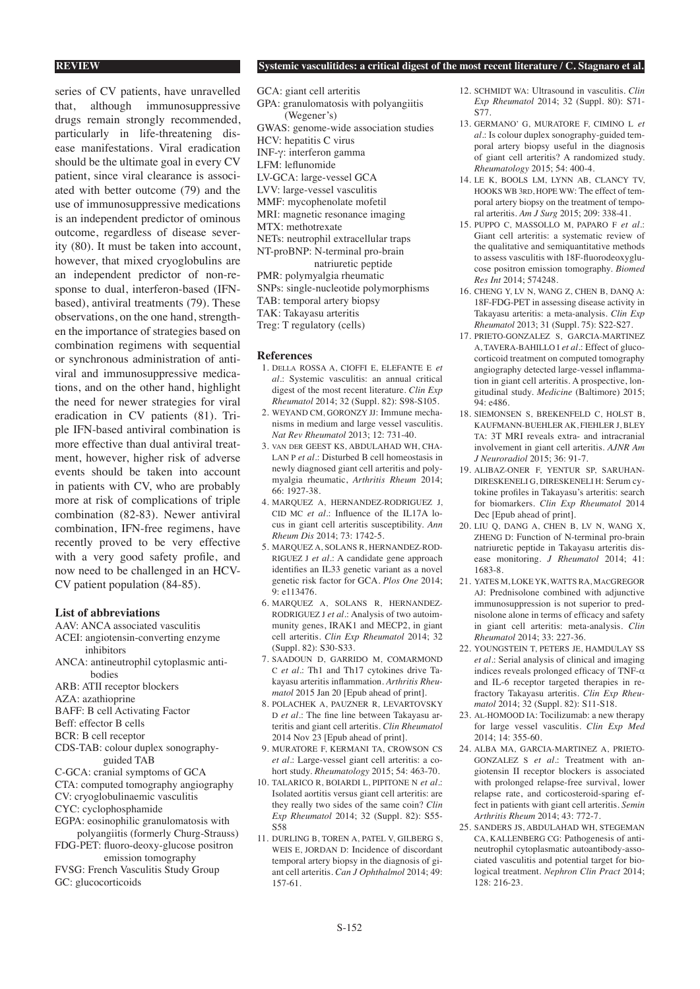series of CV patients, have unravelled that, although immunosuppressive drugs remain strongly recommended, particularly in life-threatening disease manifestations. Viral eradication should be the ultimate goal in every CV patient, since viral clearance is associated with better outcome (79) and the use of immunosuppressive medications is an independent predictor of ominous outcome, regardless of disease severity (80). It must be taken into account, however, that mixed cryoglobulins are an independent predictor of non-response to dual, interferon-based (IFNbased), antiviral treatments (79). These observations, on the one hand, strengthen the importance of strategies based on combination regimens with sequential or synchronous administration of antiviral and immunosuppressive medications, and on the other hand, highlight the need for newer strategies for viral eradication in CV patients (81). Triple IFN-based antiviral combination is more effective than dual antiviral treatment, however, higher risk of adverse events should be taken into account in patients with CV, who are probably more at risk of complications of triple combination (82-83). Newer antiviral combination, IFN-free regimens, have recently proved to be very effective with a very good safety profile, and now need to be challenged in an HCV-CV patient population (84-85).

### **List of abbreviations**

AAV: ANCA associated vasculitis

- ACEI: angiotensin-converting enzyme inhibitors
- ANCA: antineutrophil cytoplasmic anti bodies
- ARB: ATII receptor blockers
- AZA: azathioprine
- BAFF: B cell Activating Factor
- Beff: effector B cells
- BCR: B cell receptor
- CDS-TAB: colour duplex sonography guided TAB
- C-GCA: cranial symptoms of GCA
- CTA: computed tomography angiography
- CV: cryoglobulinaemic vasculitis
- CYC: cyclophosphamide
- EGPA: eosinophilic granulomatosis with polyangiitis (formerly Churg-Strauss)
- FDG-PET: fluoro-deoxy-glucose positron emission tomography
- FVSG: French Vasculitis Study Group GC: glucocorticoids

## **REVIEW Systemic vasculitides: a critical digest of the most recent literature / C. Stagnaro et al.**

- GCA: giant cell arteritis GPA: granulomatosis with polyangiitis (Wegener's) GWAS: genome-wide association studies HCV: hepatitis C virus INF-γ: interferon gamma LFM: leflunomide LV-GCA: large-vessel GCA LVV: large-vessel vasculitis MMF: mycophenolate mofetil MRI: magnetic resonance imaging MTX: methotrexate NETs: neutrophil extracellular traps NT-proBNP: N-terminal pro-brain natriuretic peptide PMR: polymyalgia rheumatic SNPs: single-nucleotide polymorphisms TAB: temporal artery biopsy TAK: Takayasu arteritis Treg: T regulatory (cells)
	- **References**
	- 1. Della ROSSA A, CIOFFI E, ELEFANTE E *et al*.: Systemic vasculitis: an annual critical digest of the most recent literature. *Clin Exp Rheumatol* 2014; 32 (Suppl. 82): S98-S105.
	- 2. WEYAND CM, GORONZY JJ: Immune mechanisms in medium and large vessel vasculitis. *Nat Rev Rheumatol* 2013; 12: 731-40.
	- 3. van der GEEST KS, ABDULAHAD WH, CHA-LAN P *et al*.: Disturbed B cell homeostasis in newly diagnosed giant cell arteritis and polymyalgia rheumatic, *Arthritis Rheum* 2014; 66: 1927-38.
	- 4. MARQUEZ A, HERNANDEZ-RODRIGUEZ J, CID MC *et al*.: Influence of the IL17A locus in giant cell arteritis susceptibility. *Ann Rheum Dis* 2014; 73: 1742-5.
	- 5. MARQUEZ A, SOLANS R, HERNANDEZ-ROD-RIGUEZ J *et al*.: A candidate gene approach identifies an IL33 genetic variant as a novel genetic risk factor for GCA. *Plos One* 2014; 9: e113476.
	- 6. MARQUEZ A, SOLANS R, HERNANDEZ-RODRIGUEZ J *et al.*: Analysis of two autoimmunity genes, IRAK1 and MECP2, in giant cell arteritis. *Clin Exp Rheumatol* 2014; 32 (Suppl. 82): S30-S33.
	- 7. SAADOUN D, GARRIDO M, COMARMOND C *et al.*: Th1 and Th17 cytokines drive Takayasu arteritis inflammation. *Arthritis Rheumatol* 2015 Jan 20 [Epub ahead of print].
	- 8. POLACHEK A, PAUZNER R, LEVARTOVSKY D *et al.*: The fine line between Takayasu arteritis and giant cell arteritis. *Clin Rheumatol* 2014 Nov 23 [Epub ahead of print].
	- 9. MURATORE F, KERMANI TA, CROWSON CS *et al*.: Large-vessel giant cell arteritis: a cohort study. *Rheumatology* 2015; 54: 463-70.
	- 10. TALARICO R, BOIARDI L, PIPITONE N *et al.*: Isolated aortitis versus giant cell arteritis: are they really two sides of the same coin? *Clin Exp Rheumatol* 2014; 32 (Suppl. 82): S55- S58
	- 11. DURLING B, TOREN A, PATEL V, GILBERG S, WEIS E, JORDAN D: Incidence of discordant temporal artery biopsy in the diagnosis of giant cell arteritis. *Can J Ophthalmol* 2014; 49: 157-61.
- 12. SCHMIDT WA: Ultrasound in vasculitis. *Clin Exp Rheumatol* 2014; 32 (Suppl. 80): S71- S77.
- 13. GERMANO' G, MURATORE F, CIMINO L *et al.*: Is colour duplex sonography-guided temporal artery biopsy useful in the diagnosis of giant cell arteritis? A randomized study. *Rheumatology* 2015; 54: 400-4.
- 14. LE K, BOOLS LM, LYNN AB, CLANCY TV, HOOKS WB 3rd, HOPE WW: The effect of temporal artery biopsy on the treatment of temporal arteritis. *Am J Surg* 2015; 209: 338-41.
- 15. PUPPO C, MASSOLLO M, PAPARO F *et al.*: Giant cell arteritis: a systematic review of the qualitative and semiquantitative methods to assess vasculitis with 18F-fluorodeoxyglucose positron emission tomography. *Biomed Res Int* 2014; 574248.
- 16. CHENG Y, LV N, WANG Z, CHEN B, DANQ A: 18F-FDG-PET in assessing disease activity in Takayasu arteritis: a meta-analysis. *Clin Exp Rheumatol* 2013; 31 (Suppl. 75): S22-S27.
- 17. PRIETO-GONZALEZ S, GARCIA-MARTINEZ A, TAVERA-BAHILLO I *et al.*: Effect of glucocorticoid treatment on computed tomography angiography detected large-vessel inflammation in giant cell arteritis. A prospective, longitudinal study. *Medicine* (Baltimore) 2015; 94: e486.
- 18. SIEMONSEN S, BREKENFELD C, HOLST B, KAUFMANN-BUEHLER AK, FIEHLER J, BLEY TA: 3T MRI reveals extra- and intracranial involvement in giant cell arteritis. *AJNR Am J Neuroradiol* 2015; 36: 91-7.
- 19. ALIBAZ-ONER F, YENTUR SP, SARUHAN-DIRESKENELI G, DIRESKENELI H: Serum cytokine profiles in Takayasu's arteritis: search for biomarkers. *Clin Exp Rheumatol* 2014 Dec [Epub ahead of print].
- 20. LIU Q, DANG A, CHEN B, LV N, WANG X, ZHENG D: Function of N-terminal pro-brain natriuretic peptide in Takayasu arteritis disease monitoring. *J Rheumatol* 2014; 41: 1683-8.
- 21. YATES M, LOKE YK, WATTS RA, MacGREGOR AJ: Prednisolone combined with adjunctive immunosuppression is not superior to prednisolone alone in terms of efficacy and safety in giant cell arteritis: meta-analysis. *Clin Rheumatol* 2014; 33: 227-36.
- 22. YOUNGSTEIN T, PETERS JE, HAMDULAY SS *et al*.: Serial analysis of clinical and imaging indices reveals prolonged efficacy of TNF-α and IL-6 receptor targeted therapies in refractory Takayasu arteritis. *Clin Exp Rheumatol* 2014; 32 (Suppl. 82): S11-S18.
- 23. Al-HOMOOD IA: Tocilizumab: a new therapy for large vessel vasculitis. *Clin Exp Med* 2014; 14: 355-60.
- 24. ALBA MA, GARCIA-MARTINEZ A, PRIETO-GONZALEZ S *et al.*: Treatment with angiotensin II receptor blockers is associated with prolonged relapse-free survival, lower relapse rate, and corticosteroid-sparing effect in patients with giant cell arteritis. *Semin Arthritis Rheum* 2014; 43: 772-7.
- 25. SANDERS JS, ABDULAHAD WH, STEGEMAN CA, KALLENBERG CG: Pathogenesis of antineutrophil cytoplasmatic autoantibody-associated vasculitis and potential target for biological treatment. *Nephron Clin Pract* 2014; 128: 216-23.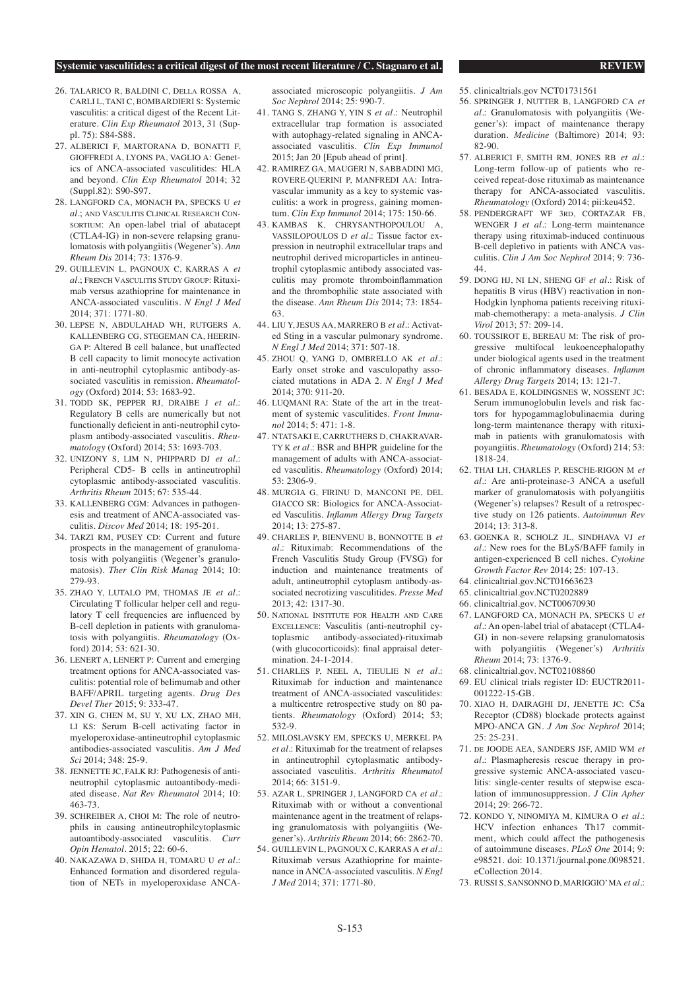- 26. TALARICO R, BALDINI C, Della ROSSA A, CARLI L, TANI C, BOMBARDIERI S: Systemic vasculitis: a critical digest of the Recent Literature. *Clin Exp Rheumatol* 2013, 31 (Suppl. 75): S84-S88.
- 27. ALBERICI F, MARTORANA D, BONATTI F, GIOFFREDI A, LYONS PA, VAGLIO A: Genetics of ANCA-associated vasculitides: HLA and beyond. *Clin Exp Rheumatol* 2014; 32 (Suppl.82): S90-S97.
- 28. LANGFORD CA, MONACH PA, SPECKS U *et al.*; and Vasculitis Clinical Research ConsortTUM: An open-label trial of abatacept (CTLA4-IG) in non-severe relapsing granulomatosis with polyangiitis (Wegener's). *Ann Rheum Dis* 2014; 73: 1376-9.
- 29. GUILLEVIN L, PAGNOUX C, KARRAS A *et al.*; French Vasculitis Study Group: Rituximab versus azathioprine for maintenance in ANCA-associated vasculitis. *N Engl J Med* 2014; 371: 1771-80.
- 30. LEPSE N, ABDULAHAD WH, RUTGERS A, KALLENBERG CG, STEGEMAN CA, HEERIN-GA P: Altered B cell balance, but unaffected B cell capacity to limit monocyte activation in anti-neutrophil cytoplasmic antibody-associated vasculitis in remission. *Rheumatology* (Oxford) 2014; 53: 1683-92.
- 31. TODD SK, PEPPER RJ, DRAIBE J *et al.*: Regulatory B cells are numerically but not functionally deficient in anti-neutrophil cytoplasm antibody-associated vasculitis. *Rheumatology* (Oxford) 2014; 53: 1693-703.
- 32. UNIZONY S, LIM N, PHIPPARD DJ *et al.*: Peripheral CD5- B cells in antineutrophil cytoplasmic antibody-associated vasculitis. *Arthritis Rheum* 2015; 67: 535-44.
- 33. KALLENBERG CGM: Advances in pathogenesis and treatment of ANCA-associated vasculitis. *Discov Med* 2014; 18: 195-201.
- 34. TARZI RM, PUSEY CD: Current and future prospects in the management of granulomatosis with polyangiitis (Wegener's granulomatosis). *Ther Clin Risk Manag* 2014; 10: 279-93.
- 35. ZHAO Y, LUTALO PM, THOMAS JE *et al.*: Circulating T follicular helper cell and regulatory T cell frequencies are influenced by B-cell depletion in patients with granulomatosis with polyangiitis. *Rheumatology* (Oxford) 2014; 53: 621-30.
- 36. LENERT A, LENERT P: Current and emerging treatment options for ANCA-associated vasculitis: potential role of belimumab and other BAFF/APRIL targeting agents. *Drug Des Devel Ther* 2015; 9: 333-47.
- 37. XIN G, CHEN M, SU Y, XU LX, ZHAO MH, LI KS: Serum B-cell activating factor in myeloperoxidase-antineutrophil cytoplasmic antibodies-associated vasculitis. *Am J Med Sci* 2014; 348: 25-9.
- 38. JENNETTE JC, FALK RJ: Pathogenesis of antineutrophil cytoplasmic autoantibody-mediated disease. *Nat Rev Rheumatol* 2014; 10: 463-73.
- 39. SCHREIBER A, CHOI M: The role of neutrophils in causing antineutrophilcytoplasmic autoantibody-associated vasculitis. *Curr Opin Hematol.* 2015; 22: 60-6.
- 40. NAKAZAWA D, SHIDA H, TOMARU U *et al.*: Enhanced formation and disordered regulation of NETs in myeloperoxidase ANCA-

associated microscopic polyangiitis. *J Am Soc Nephrol* 2014; 25: 990-7.

- 41. TANG S, ZHANG Y, YIN S *et al.*: Neutrophil extracellular trap formation is associated with autophagy-related signaling in ANCAassociated vasculitis. *Clin Exp Immunol* 2015; Jan 20 [Epub ahead of print].
- 42. RAMIREZ GA, MAUGERI N, SABBADINI MG, ROVERE-QUERINI P, MANFREDI AA: Intravascular immunity as a key to systemic vasculitis: a work in progress, gaining momentum. *Clin Exp Immunol* 2014; 175: 150-66.
- 43. KAMBAS K, CHRYSANTHOPOULOU A, VASSILOPOULOS D *et al*.: Tissue factor expression in neutrophil extracellular traps and neutrophil derived microparticles in antineutrophil cytoplasmic antibody associated vasculitis may promote thromboinflammation and the thrombophilic state associated with the disease. *Ann Rheum Dis* 2014; 73: 1854- 63.
- 44. LIU Y, JESUS AA, MARRERO B *et al.*: Activated Sting in a vascular pulmonary syndrome. *N Engl J Med* 2014; 371: 507-18.
- 45. ZHOU Q, YANG D, OMBRELLO AK *et al.*: Early onset stroke and vasculopathy associated mutations in ADA 2. *N Engl J Med* 2014; 370: 911-20.
- 46. LUQMANI RA: State of the art in the treatment of systemic vasculitides. *Front Immunol* 2014; 5: 471: 1-8.
- 47. NTATSAKI E, CARRUTHERS D, CHAKRAVAR-TY K *et al*.: BSR and BHPR guideline for the management of adults with ANCA-associated vasculitis. *Rheumatology* (Oxford) 2014; 53: 2306-9.
- 48. MURGIA G, FIRINU D, MANCONI PE, DEL GIACCO SR: Biologics for ANCA-Associated Vasculitis. *Inflamm Allergy Drug Targets*  $2014 \cdot 13: 275 - 87$ .
- 49. CHARLES P, BIENVENU B, BONNOTTE B *et al*.: Rituximab: Recommendations of the French Vasculitis Study Group (FVSG) for induction and maintenance treatments of adult, antineutrophil cytoplasm antibody-associated necrotizing vasculitides. *Presse Med* 2013; 42: 1317-30.
- 50. National Institute for Health and Care Excellence: Vasculitis (anti-neutrophil cytoplasmic antibody-associated)-rituximab (with glucocorticoids): final appraisal determination. 24-1-2014.
- 51. CHARLES P, NEEL A, TIEULIE N *et al*.: Rituximab for induction and maintenance treatment of ANCA-associated vasculitides: a multicentre retrospective study on 80 patients. *Rheumatology* (Oxford) 2014; 53; 532-9.
- 52. MILOSLAVSKY EM, SPECKS U, MERKEL PA *et al*.: Rituximab for the treatment of relapses in antineutrophil cytoplasmatic antibodyassociated vasculitis. *Arthritis Rheumatol*  $2014.66.3151.9$
- 53. AZAR L, SPRINGER J, LANGFORD CA *et al*.: Rituximab with or without a conventional maintenance agent in the treatment of relapsing granulomatosis with polyangiitis (Wegener's). *Arthritis Rheum* 2014; 66: 2862-70.
- 54. GUILLEVIN L, PAGNOUX C, KARRAS A *et al*.: Rituximab versus Azathioprine for maintenance in ANCA-associated vasculitis. *N Engl J Med* 2014; 371: 1771-80.
- 55. clinicaltrials.gov NCT01731561
- 56. SPRINGER J, NUTTER B, LANGFORD CA *et al.*: Granulomatosis with polyangiitis (Wegener's): impact of maintenance therapy duration. *Medicine* (Baltimore) 2014; 93: 82-90.
- 57. ALBERICI F, SMITH RM, JONES RB *et al*.: Long-term follow-up of patients who received repeat-dose rituximab as maintenance therapy for ANCA-associated vasculitis. *Rheumatology* (Oxford) 2014; pii:keu452.
- 58. PENDERGRAFT WF 3rd, CORTAZAR FB, WENGER J *et al*.: Long-term maintenance therapy using rituximab-induced continuous B-cell depletivo in patients with ANCA vasculitis. *Clin J Am Soc Nephrol* 2014; 9: 736- 44.
- 59. DONG HJ, NI LN, SHENG GF *et al*.: Risk of hepatitis B virus (HBV) reactivation in non-Hodgkin lynphoma patients receiving rituximab-chemotherapy: a meta-analysis. *J Clin Virol* 2013; 57: 209-14.
- 60. TOUSSIROT E, BEREAU M: The risk of progressive multifocal leukoencephalopathy under biological agents used in the treatment of chronic inflammatory diseases. *Inflamm Allergy Drug Targets* 2014; 13: 121-7.
- 61. BESADA E, KOLDINGSNES W, NOSSENT JC: Serum immunoglobulin levels and risk factors for hypogammaglobulinaemia during long-term maintenance therapy with rituximab in patients with granulomatosis with poyangiitis. *Rheumatology* (Oxford) 214; 53: 1818-24.
- 62. THAI LH, CHARLES P, RESCHE-RIGON M *et al.*: Are anti-proteinase-3 ANCA a usefull marker of granulomatosis with polyangiitis (Wegener's) relapses? Result of a retrospective study on 126 patients. *Autoimmun Rev*  $2014 \cdot 13:313-8$ .
- 63. GOENKA R, SCHOLZ JL, SINDHAVA VJ *et al*.: New roes for the BLyS/BAFF family in antigen-experienced B cell niches. *Cytokine Growth Factor Rev* 2014; 25: 107-13.
- 64. clinicaltrial.gov.NCT01663623
- 65. clinicaltrial.gov.NCT0202889
- 66. clinicaltrial.gov. NCT00670930
- 67. LANGFORD CA, MONACH PA, SPECKS U *et al*.: An open-label trial of abatacept (CTLA4- GI) in non-severe relapsing granulomatosis with polyangiitis (Wegener's) *Arthritis Rheum* 2014; 73: 1376-9.
- 68. clinicaltrial.gov. NCT02108860
- 69. EU clinical trials register ID: EUCTR2011- 001222-15-GB.
- 70. XIAO H, DAIRAGHI DJ, JENETTE JC: C5a Receptor (CD88) blockade protects against MPO-ANCA GN. *J Am Soc Nephrol* 2014; 25: 25-231.
- 71. de JOODE AEA, SANDERS JSF, AMID WM *et al*.: Plasmapheresis rescue therapy in progressive systemic ANCA-associated vasculitis: single-center results of stepwise escalation of immunosuppression. *J Clin Apher*  $2014 \cdot 29: 266 - 72$ .
- 72. KONDO Y, NINOMIYA M, KIMURA O *et al.*: HCV infection enhances Th17 commitment, which could affect the pathogenesis of autoimmune diseases. *PLoS One* 2014; 9: e98521. doi: 10.1371/journal.pone.0098521. eCollection 2014.
- 73. RUSSI S, SANSONNO D, MARIGGIO' MA *et al.*: